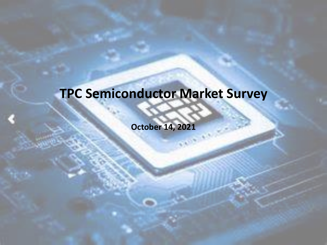## **TPC Semiconductor Market Survey**

**October 14, 2021**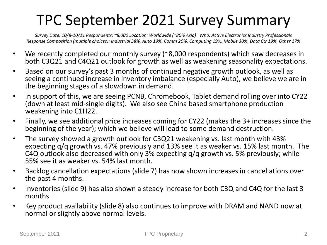### TPC September 2021 Survey Summary

*Survey Date: 10/8-10/11 Respondents: ~8,000 Location: Worldwide (~80% Asia) Who: Active Electronics Industry Professionals Response Composition (multiple choices): Industrial 38%, Auto 19%, Comm 20%, Computing 19%, Mobile 30%, Data Ctr 19%, Other 17%*

- We recently completed our monthly survey (~8,000 respondents) which saw decreases in both C3Q21 and C4Q21 outlook for growth as well as weakening seasonality expectations.
- Based on our survey's past 3 months of continued negative growth outlook, as well as seeing a continued increase in inventory imbalance (especially Auto), we believe we are in the beginning stages of a slowdown in demand.
- In support of this, we are seeing PCNB, Chromebook, Tablet demand rolling over into CY22 (down at least mid-single digits). We also see China based smartphone production weakening into C1H22.
- Finally, we see additional price increases coming for CY22 (makes the 3+ increases since the beginning of the year); which we believe will lead to some demand destruction.
- The survey showed a growth outlook for C3Q21 weakening vs. last month with 43% expecting q/q growth vs. 47% previously and 13% see it as weaker vs. 15% last month. The C4Q outlook also decreased with only 3% expecting q/q growth vs. 5% previously; while 55% see it as weaker vs. 54% last month.
- Backlog cancellation expectations (slide 7) has now shown increases in cancellations over the past 4 months.
- Inventories (slide 9) has also shown a steady increase for both C3Q and C4Q for the last 3 months
- Key product availability (slide 8) also continues to improve with DRAM and NAND now at normal or slightly above normal levels.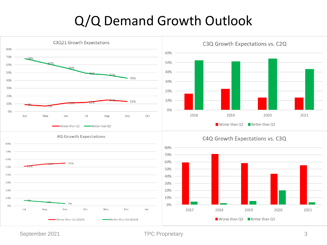#### Q/Q Demand Growth Outlook



September 2021 **TPC Proprietary** 3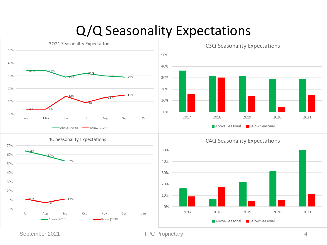#### Q/Q Seasonality Expectations



September 2021 **TPC Proprietary TPC Proprietary** 4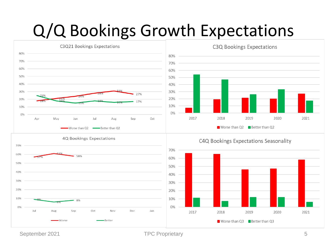## Q/Q Bookings Growth Expectations





September 2021 **TPC Proprietary** 5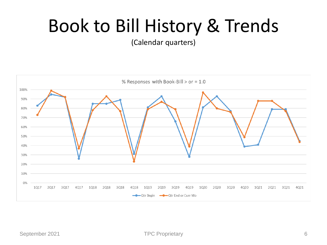## Book to Bill History & Trends

(Calendar quarters)



September 2021 **TPC Proprietary 6**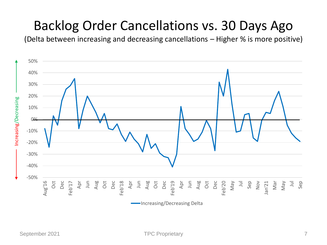#### Backlog Order Cancellations vs. 30 Days Ago

(Delta between increasing and decreasing cancellations – Higher % is more positive)

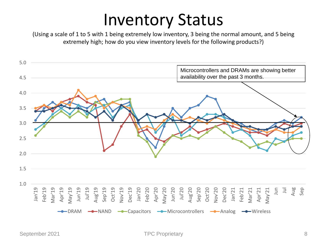### Inventory Status

(Using a scale of 1 to 5 with 1 being extremely low inventory, 3 being the normal amount, and 5 being extremely high; how do you view inventory levels for the following products?)

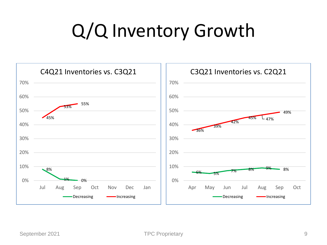## Q/Q Inventory Growth

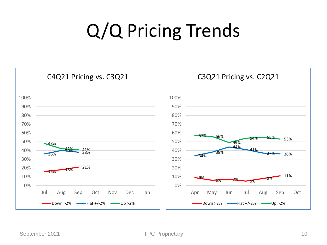# Q/Q Pricing Trends